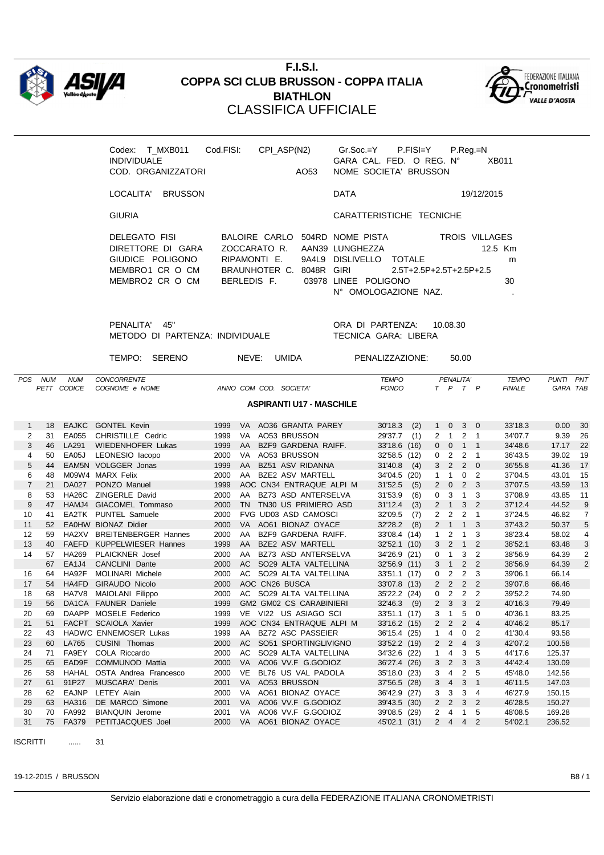

## **F.I.S.I. COPPA SCI CLUB BRUSSON - COPPA ITALIA BIATHLON** CLASSIFICA UFFICIALE



| Codex: T MXB011 Cod.FISI:   | CPI ASP(N2)   |                  |                         | $Gr.Soc = Y$ P.FISI $=Y$  | $P_{\cdot}$ Reg $_{\cdot}$ =N |                |              |
|-----------------------------|---------------|------------------|-------------------------|---------------------------|-------------------------------|----------------|--------------|
| <b>INDIVIDUALE</b>          |               |                  |                         | GARA CAL. FED. O REG. Nº  |                               |                | <b>XB011</b> |
| COD. ORGANIZZATORI          |               | AO <sub>53</sub> |                         | NOME SOCIETA' BRUSSON     |                               |                |              |
| LOCALITA'<br><b>BRUSSON</b> |               |                  | <b>DATA</b>             |                           |                               | 19/12/2015     |              |
| <b>GIURIA</b>               |               |                  |                         | CARATTERISTICHE TECNICHE  |                               |                |              |
| DELEGATO FISI               | BALOIRE CARLO |                  | 504RD NOME PISTA        |                           |                               | TROIS VILLAGES |              |
| DIRETTORE DI GARA           | ZOCCARATO R.  |                  | AAN39 LUNGHEZZA         |                           |                               |                | 12.5 Km      |
| GIUDICE POLIGONO            | RIPAMONTI E.  |                  | 9A4L9 DISLIVELLO TOTALE |                           |                               |                | m            |
| MEMBRO1 CR O CM             | BRAUNHOTER C. | 8048R GIRI       |                         | $2.5T+2.5P+2.5T+2.5P+2.5$ |                               |                |              |
| MEMBRO2 CR O CM             | BERLEDIS F.   |                  | 03978 LINEE POLIGONO    |                           |                               |                | 30           |
|                             |               |                  |                         | N° OMOLOGAZIONE NAZ.      |                               |                |              |
|                             |               |                  |                         |                           |                               |                |              |

PENALITA' 45" ORA DI PARTENZA: 10.08.30 METODO DI PARTENZA: INDIVIDUALE TECNICA GARA: LIBERA

|                |            |                           | TEMPO: SERENO                        |      | NEVE:     | <b>UMIDA</b>                    | PENALIZZAZIONE:              |     |                |                | 50.00                |                            |                               |                       |    |
|----------------|------------|---------------------------|--------------------------------------|------|-----------|---------------------------------|------------------------------|-----|----------------|----------------|----------------------|----------------------------|-------------------------------|-----------------------|----|
| <b>POS</b>     | <b>NUM</b> | <b>NUM</b><br>PETT CODICE | <b>CONCORRENTE</b><br>COGNOME e NOME |      |           | ANNO COM COD. SOCIETA           | <b>TEMPO</b><br><b>FONDO</b> |     |                | $T$ $P$        | PENALITA'<br>$T$ $P$ |                            | <b>TEMPO</b><br><b>FINALE</b> | PUNTI PNT<br>GARA TAB |    |
|                |            |                           |                                      |      |           |                                 |                              |     |                |                |                      |                            |                               |                       |    |
|                |            |                           |                                      |      |           | <b>ASPIRANTI U17 - MASCHILE</b> |                              |     |                |                |                      |                            |                               |                       |    |
| $\mathbf{1}$   | 18         | <b>EAJKC</b>              | <b>GONTEL Kevin</b>                  | 1999 |           | VA AO36 GRANTA PAREY            | 30'18.3                      | (2) | $\mathbf{1}$   | $\mathbf{0}$   | 3                    | $\overline{0}$             | 33'18.3                       | 0.00                  | 30 |
| 2              | 31         | EA055                     | CHRISTILLE Cedric                    | 1999 | VA.       | AO53 BRUSSON                    | 29'37.7                      | (1) | $\mathbf{2}$   | $\mathbf{1}$   | $2 \quad 1$          |                            | 34'07.7                       | 9.39                  | 26 |
| 3              | 46         | LA291                     | <b>WIEDENHOFER Lukas</b>             | 1999 | AA        | BZF9 GARDENA RAIFF.             | 33'18.6 (16)                 |     | $0\quad 0$     |                | $1 \quad 1$          |                            | 34'48.6                       | 17.17                 | 22 |
| 4              | 50         | EA05J                     | LEONESIO lacopo                      | 2000 | VA        | AO53 BRUSSON                    | 32'58.5 (12)                 |     | $\mathbf{0}$   | 2              | 2                    | -1                         | 36'43.5                       | 39.02                 | 19 |
| 5              | 44         |                           | EAM5N VOLGGER Jonas                  | 1999 | AA        | BZ51 ASV RIDANNA                | 31'40.8                      | (4) | $\mathbf{3}$   | $\overline{2}$ | $2 \quad 0$          |                            | 36'55.8                       | 41.36                 | 17 |
| 6              | 48         |                           | M09W4 MARX Felix                     | 2000 |           | AA BZE2 ASV MARTELL             | 34'04.5 (20)                 |     | $\mathbf{1}$   | $\mathbf{1}$   | 0                    | $\overline{2}$             | 37'04.5                       | 43.01                 | 15 |
| $\overline{7}$ | 21         | <b>DA027</b>              | PONZO Manuel                         | 1999 |           | AOC CN34 ENTRAQUE ALPI M        | 31'52.5                      | (5) | $\overline{2}$ | $\mathbf 0$    | $\overline{2}$       | 3                          | 37'07.5                       | 43.59                 | 13 |
| 8              | 53         | HA26C                     | <b>ZINGERLE David</b>                | 2000 | AA.       | BZ73 ASD ANTERSELVA             | 31'53.9                      | (6) | 0              | 3              | $\overline{1}$       | 3                          | 37'08.9                       | 43.85                 | 11 |
| 9              | 47         |                           | HAMJ4 GIACOMEL Tommaso               | 2000 |           | TN TN30 US PRIMIERO ASD         | 31'12.4                      | (3) | $2 \quad 1$    |                | 3                    | $\overline{\phantom{0}}^2$ | 37'12.4                       | 44.52                 | 9  |
| 10             | 41         |                           | EA2TK PUNTEL Samuele                 | 2000 |           | <b>FVG UD03 ASD CAMOSCI</b>     | 32'09.5                      | (7) | $\overline{2}$ | $\overline{2}$ | 2                    | $\overline{1}$             | 37'24.5                       | 46.82                 | 7  |
| 11             | 52         |                           | EA0HW BIONAZ Didier                  | 2000 |           | VA AO61 BIONAZ OYACE            | 32'28.2                      | (8) |                | $2 \quad 1$    | $1 \quad 3$          |                            | 37'43.2                       | 50.37                 | 5  |
| 12             | 59         |                           | HA2XV BREITENBERGER Hannes           | 2000 | AA        | BZF9 GARDENA RAIFF.             | 33'08.4 (14)                 |     | $\mathbf{1}$   | 2              | $\mathbf{1}$         | 3                          | 38'23.4                       | 58.02                 | 4  |
| 13             | 40         |                           | FAEFD KUPPELWIESER Hannes            | 1999 | AA        | <b>BZE2 ASV MARTELL</b>         | 32'52.1 (10)                 |     | 3 <sup>1</sup> | $\overline{2}$ | $\overline{1}$       | $\overline{2}$             | 38'52.1                       | 63.48                 | 3  |
| 14             | 57         | HA269                     | <b>PLAICKNER</b> Josef               | 2000 | AA        | BZ73 ASD ANTERSELVA             | 34'26.9 (21)                 |     | $\overline{0}$ | $\mathbf{1}$   | 3                    | $\overline{2}$             | 38'56.9                       | 64.39                 | 2  |
|                | 67         | EA1J4                     | CANCLINI Dante                       | 2000 | AC.       | SO29 ALTA VALTELLINA            | 32'56.9 (11)                 |     | $3 \quad 1$    |                | 2 <sub>2</sub>       |                            | 38'56.9                       | 64.39                 | 2  |
| 16             | 64         | HA92F                     | <b>MOLINARI Michele</b>              | 2000 | AC.       | SO29 ALTA VALTELLINA            | 33'51.1 (17)                 |     | $\mathbf{0}$   | 2              | 2                    | 3                          | 39'06.1                       | 66.14                 |    |
| 17             | 54         | HA4FD                     | <b>GIRAUDO Nicolo</b>                | 2000 |           | AOC CN26 BUSCA                  | 33'07.8 (13)                 |     | 2              | 2              | 2                    | $\overline{2}$             | 39'07.8                       | 66.46                 |    |
| 18             | 68         | HA7V8                     | MAIOLANI Filippo                     | 2000 |           | AC SO29 ALTA VALTELLINA         | 35'22.2 (24)                 |     | $\overline{0}$ | 2              | 2                    | $\overline{2}$             | 39'52.2                       | 74.90                 |    |
| 19             | 56         |                           | DA1CA FAUNER Daniele                 | 1999 |           | <b>GM2 GM02 CS CARABINIERI</b>  | 32'46.3                      | (9) | $2^{\circ}$    | 3              | 3 <sup>2</sup>       |                            | 40'16.3                       | 79.49                 |    |
| 20             | 69         |                           | DAAPP MOSELE Federico                | 1999 |           | VE VI22 US ASIAGO SCI           | 33'51.1 (17)                 |     | 3              | $\mathbf 1$    | 5                    | 0                          | 40'36.1                       | 83.25                 |    |
| 21             | 51         |                           | FACPT SCAIOLA Xavier                 | 1999 |           | AOC CN34 ENTRAQUE ALPI M        | 33'16.2 (15)                 |     | $\overline{2}$ | 2              | $2 \quad 4$          |                            | 40'46.2                       | 85.17                 |    |
| 22             | 43         |                           | <b>HADWC ENNEMOSER Lukas</b>         | 1999 |           | AA BZ72 ASC PASSEIER            | 36'15.4 (25)                 |     | $\mathbf{1}$   | 4              | 0                    | $\overline{2}$             | 41'30.4                       | 93.58                 |    |
| 23             | 60         | LA765                     | <b>CUSINI Thomas</b>                 | 2000 | AC.       | SO51 SPORTINGLIVIGNO            | 33'52.2 (19)                 |     | 2 <sub>2</sub> |                | $\overline{4}$       | 3                          | 42'07.2                       | 100.58                |    |
| 24             | 71         | FA9EY                     | COLA Riccardo                        | 2000 | AC.       | SO29 ALTA VALTELLINA            | 34'32.6 (22)                 |     | 1              | 4              | 3                    | 5                          | 44'17.6                       | 125.37                |    |
| 25             | 65         | EAD9F                     | <b>COMMUNOD Mattia</b>               | 2000 | <b>VA</b> | AO06 VV.F G.GODIOZ              | 36'27.4 (26)                 |     | 3 <sup>1</sup> | $\overline{2}$ | 3                    | 3                          | 44'42.4                       | 130.09                |    |
| 26             | 58         | HAHAL                     | OSTA Andrea Francesco                | 2000 | <b>VE</b> | BL76 US VAL PADOLA              | 35'18.0 (23)                 |     | 3              | 4              | $\overline{2}$       | 5                          | 45'48.0                       | 142.56                |    |
| 27             | 61         | 91P27                     | <b>MUSCARA' Denis</b>                | 2001 |           | VA AO53 BRUSSON                 | 37'56.5 (28)                 |     | 3              | $\overline{4}$ | 3                    | $\mathbf{1}$               | 46'11.5                       | 147.03                |    |

ISCRITTI ...... 31

28 62 EAJNP LETEY Alain 2000 VA AO61 BIONAZ OYACE 36'42.9 (27) 3 3 3 4 46'27.9 150.15 29 63 HA316 DE MARCO Simone 2001 VA AO06 VV.F G.GODIOZ 39'43.5 (30) 2 2 3 2 46'28.5 150.27 30 70 FA992 BIANQUIN Jerome 2001 VA AO06 VV.F G.GODIOZ 39'08.5 (29) 2 4 1 5 48'08.5 169.28 31 75 FA379 PETITJACQUES Joel 2000 VA AO61 BIONAZ OYACE 45'02.1 (31) 2 4 4 2 54'02.1 236.52